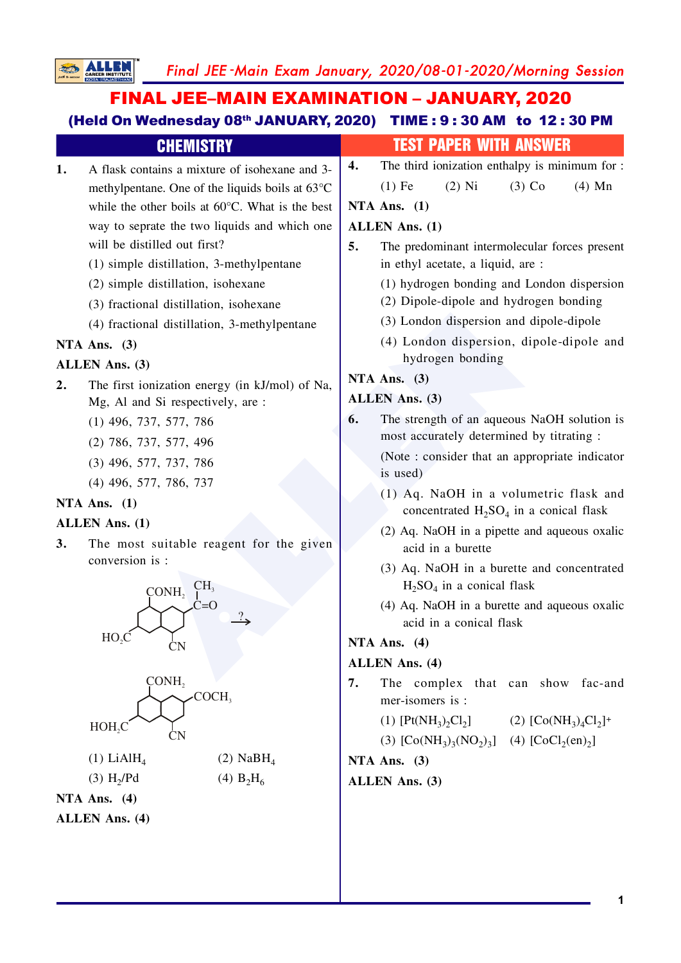Final JEE-Main Exam January, 2020/08-01-2020/Morning Session

# **FINAL JEE-MAIN EXAMINATION - JANUARY, 2020** (Held On Wednesday 08th JANUARY, 2020) TIME: 9:30 AM to 12:30 PM

**SALLEN** 

| <b>CHEMISTRY</b>                                          | <b>TEST PAPER WITH ANSWER</b>                                                                                     |  |  |  |  |  |
|-----------------------------------------------------------|-------------------------------------------------------------------------------------------------------------------|--|--|--|--|--|
| A flask contains a mixture of isohexane and 3-<br>1.      | The third ionization enthalpy is minimum for :<br>4.                                                              |  |  |  |  |  |
| methylpentane. One of the liquids boils at 63°C           | $(4)$ Mn<br>$(1)$ Fe<br>$(2)$ Ni<br>$(3)$ Co                                                                      |  |  |  |  |  |
| while the other boils at $60^{\circ}$ C. What is the best | NTA Ans. $(1)$                                                                                                    |  |  |  |  |  |
| way to seprate the two liquids and which one              | <b>ALLEN Ans.</b> (1)<br>5.<br>The predominant intermolecular forces present<br>in ethyl acetate, a liquid, are : |  |  |  |  |  |
| will be distilled out first?                              |                                                                                                                   |  |  |  |  |  |
| (1) simple distillation, 3-methylpentane                  |                                                                                                                   |  |  |  |  |  |
| (2) simple distillation, isohexane                        | (1) hydrogen bonding and London dispersion                                                                        |  |  |  |  |  |
| (3) fractional distillation, isohexane                    | (2) Dipole-dipole and hydrogen bonding                                                                            |  |  |  |  |  |
| (4) fractional distillation, 3-methylpentane              | (3) London dispersion and dipole-dipole                                                                           |  |  |  |  |  |
| NTA Ans. $(3)$                                            | (4) London dispersion, dipole-dipole and                                                                          |  |  |  |  |  |
| <b>ALLEN Ans. (3)</b>                                     | hydrogen bonding                                                                                                  |  |  |  |  |  |
| The first ionization energy (in kJ/mol) of Na,<br>2.      | NTA Ans. $(3)$                                                                                                    |  |  |  |  |  |
| Mg, Al and Si respectively, are :                         | <b>ALLEN Ans.</b> (3)                                                                                             |  |  |  |  |  |
| $(1)$ 496, 737, 577, 786                                  | The strength of an aqueous NaOH solution is<br>6.<br>most accurately determined by titrating :                    |  |  |  |  |  |
| (2) 786, 737, 577, 496                                    | (Note: consider that an appropriate indicator)                                                                    |  |  |  |  |  |
| $(3)$ 496, 577, 737, 786                                  | is used)                                                                                                          |  |  |  |  |  |
| $(4)$ 496, 577, 786, 737                                  | (1) Aq. NaOH in a volumetric flask and                                                                            |  |  |  |  |  |
| NTA Ans. $(1)$                                            | concentrated $H_2SO_4$ in a conical flask                                                                         |  |  |  |  |  |
| <b>ALLEN Ans.</b> (1)                                     | (2) Aq. NaOH in a pipette and aqueous oxalic                                                                      |  |  |  |  |  |
| The most suitable reagent for the given<br>3.             | acid in a burette                                                                                                 |  |  |  |  |  |
| conversion is :                                           | (3) Aq. NaOH in a burette and concentrated                                                                        |  |  |  |  |  |
| CH <sub>3</sub><br>$\overline{\mathrm{CONH}_2}$           | $H2SO4$ in a conical flask                                                                                        |  |  |  |  |  |
| C=O                                                       | (4) Aq. NaOH in a burette and aqueous oxalic                                                                      |  |  |  |  |  |
| HO <sub>2</sub>                                           | acid in a conical flask                                                                                           |  |  |  |  |  |
| <b>CN</b>                                                 | NTA Ans. $(4)$                                                                                                    |  |  |  |  |  |
|                                                           | <b>ALLEN Ans. (4)</b>                                                                                             |  |  |  |  |  |
| CONH,<br>COCH,                                            | The complex that can show fac-and<br>7.<br>mer-isomers is :                                                       |  |  |  |  |  |
| HOH, C                                                    | (2) $[Co(NH_3)_4Cl_2]^+$<br>(1) $[Pt(NH_3)_2Cl_2]$                                                                |  |  |  |  |  |
|                                                           | (3) $[Co(NH_3)_{3}(NO_2)_{3}]$ (4) $[CoCl_2(en)_{2}]$                                                             |  |  |  |  |  |
| $(1)$ LiAl $H_4$<br>$(2)$ NaBH <sub>4</sub>               | NTA Ans. $(3)$                                                                                                    |  |  |  |  |  |
| (3) H <sub>2</sub> /Pd<br>(4) $B_2H_6$                    | ALLEN Ans. (3)                                                                                                    |  |  |  |  |  |
| NTA Ans. (4)                                              |                                                                                                                   |  |  |  |  |  |
| <b>ALLEN</b> Ans. (4)                                     |                                                                                                                   |  |  |  |  |  |
|                                                           |                                                                                                                   |  |  |  |  |  |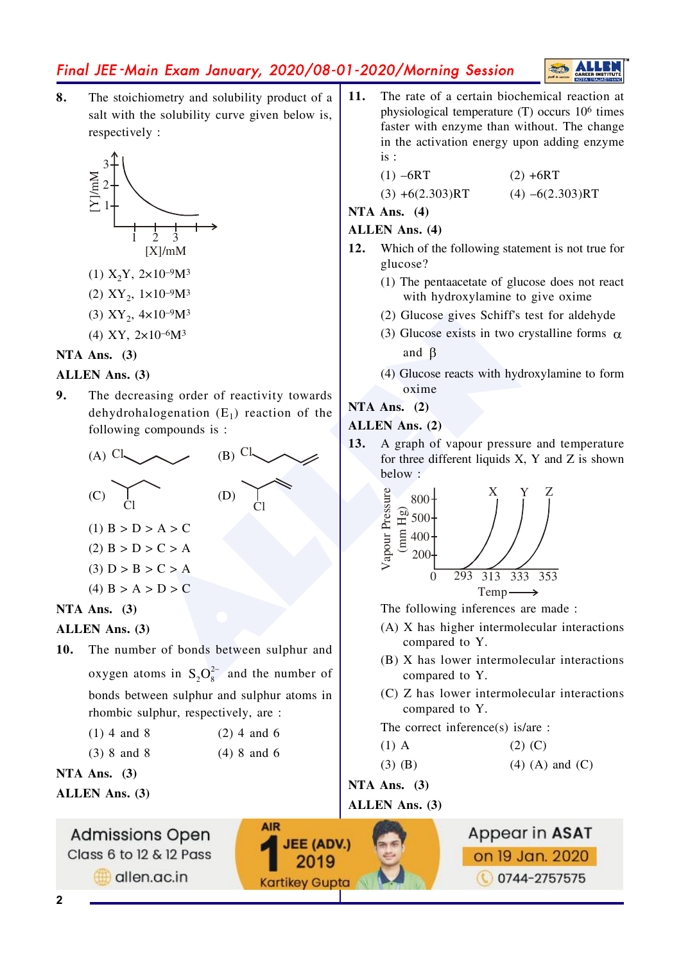# Final JEE-Main Exam January, 2020/08-01-2020/Morning Session



 $\mathbf{8}$ . The stoichiometry and solubility product of a salt with the solubility curve given below is, respectively:



- (1)  $X_2Y$ ,  $2\times10^{-9}M^3$
- (2)  $XY_2$ ,  $1 \times 10^{-9} M^3$
- (3)  $XY_2$ ,  $4 \times 10^{-9} M^3$
- (4) XY,  $2\times10^{-6}M^3$

#### NTA Ans.  $(3)$

#### **ALLEN** Ans. (3)

9. The decreasing order of reactivity towards dehydrohalogenation  $(E_1)$  reaction of the following compounds is :



(4)  $B > A > D > C$ 

# NTA Ans.  $(3)$

#### **ALLEN** Ans. (3)

 $10.$ The number of bonds between sulphur and oxygen atoms in  $S_2O_8^{2-}$  and the number of bonds between sulphur and sulphur atoms in rhombic sulphur, respectively, are :

| $(1)$ 4 and 8 | $(2)$ 4 and 6 |
|---------------|---------------|

|  | $(3)$ 8 and 8 |  |  | $(4)$ 8 and 6 |  |
|--|---------------|--|--|---------------|--|

NTA Ans.  $(3)$ 

**ALLEN Ans. (3)** 

 $11.$ The rate of a certain biochemical reaction at physiological temperature (T) occurs 10<sup>6</sup> times faster with enzyme than without. The change in the activation energy upon adding enzyme  $is:$ 

| $(1) - 6RT$       | $(2) + 6RT$       |
|-------------------|-------------------|
| $(3) +6(2.303)RT$ | $(4) -6(2.303)RT$ |

NTA Ans.  $(4)$ 

#### **ALLEN Ans. (4)**

- $12.$ Which of the following statement is not true for glucose?
	- (1) The pentancetate of glucose does not react with hydroxylamine to give oxime
	- (2) Glucose gives Schiff's test for aldehyde
	- (3) Glucose exists in two crystalline forms  $\alpha$ and  $\beta$
	- (4) Glucose reacts with hydroxylamine to form oxime

#### NTA Ans.  $(2)$

#### **ALLEN** Ans. (2)

A graph of vapour pressure and temperature 13. for three different liquids X, Y and Z is shown below:



The following inferences are made:

- (A) X has higher intermolecular interactions compared to Y.
- (B) X has lower intermolecular interactions compared to Y.
- (C) Z has lower intermolecular interactions compared to Y.

The correct inference(s) is/are :

| $(1)$ A     | $(2)$ (C)           |
|-------------|---------------------|
| $(3)$ $(B)$ | $(4)$ (A) and $(C)$ |

 $(3)$   $(B)$ 

NTA Ans.  $(3)$ 

## ALLEN Ans. (3)

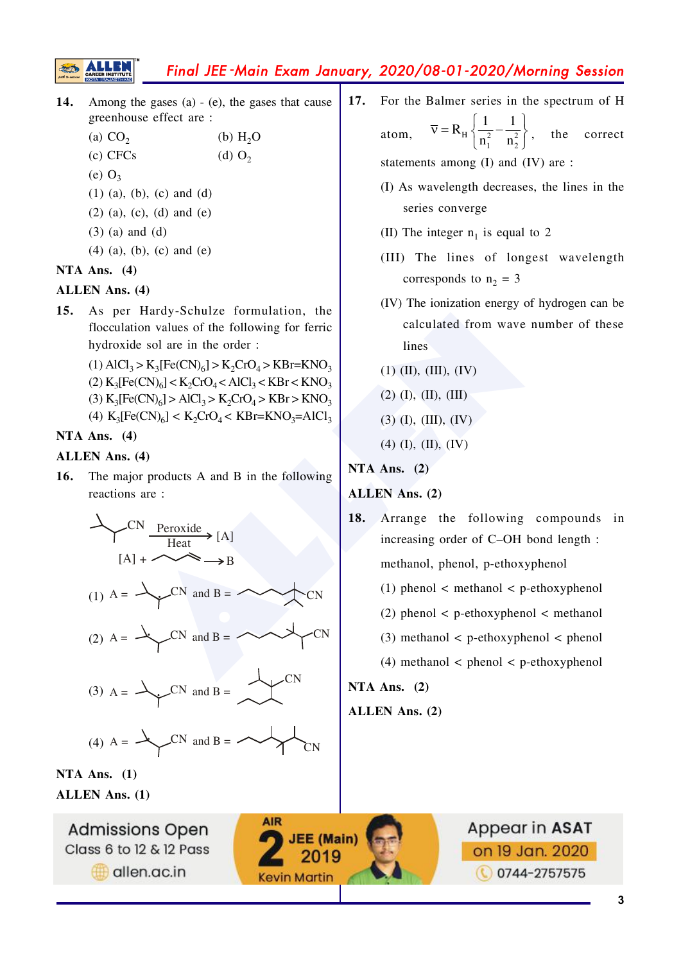# Final JEE -Main Exam January, 2020/08-01-2020/Morning Session

- **14.** Among the gases (a) (e), the gases that cause greenhouse effect are :
	- (a)  $CO<sub>2</sub>$ (b)  $H_2O$
	- $(c)$  CFCs (d)  $O<sub>2</sub>$
	- $(e)$   $O_3$

**SEED** 

- $(1)$  (a), (b), (c) and (d)
- $(2)$  (a), (c), (d) and (e)
- $(3)$  (a) and (d)
- $(4)$  (a), (b), (c) and (e)

#### **NTA Ans. (4)**

#### **ALLEN Ans. (4)**

**15.** As per Hardy-Schulze formulation, the flocculation values of the following for ferric hydroxide sol are in the order :

> (1)  $\text{AlCl}_3 > \text{K}_3[\text{Fe(CN)}_6] > \text{K}_2\text{CrO}_4 > \text{KBr} = \text{KNO}_3$  $(2) K<sub>3</sub>[Fe(CN)<sub>6</sub>] < K<sub>2</sub>CrO<sub>4</sub> < AlCl<sub>3</sub> < KBr < KNO<sub>3</sub>$ (3)  $K_3[Fe(CN)_6] > AlCl_3 > K_2CrO_4 > KBr > KNO_3$ (4)  $K_3[Fe(CN)_6] < K_2CrO_4 < KBr=KNO_3 = AlCl_3$

#### **NTA Ans. (4)**

## **ALLEN Ans. (4)**

**16.** The major products A and B in the following reactions are :



**AIR** 

**JEE** (Main)

2019

**Kevin Martin** 

**ALLEN Ans. (1)**



**17.** For the Balmer series in the spectrum of H atom.  $H$ )  $n^2$   $n^2$  $1 \quad \mathbf{u}_2$  $R_{\rm H}$  $\left\{ \frac{1}{2} - \frac{1}{2} \right\}$  $n_1^2$  n  $\overline{v} = R_{\rm H} \left\{ \frac{1}{n_1^2} - \frac{1}{n_2^2} \right\}$ , the correct

statements among  $(I)$  and  $(IV)$  are :

- $(I)$  As wavelength decreases, the lines in the series converge
- (II) The integer  $n_1$  is equal to 2
- $(HI)$  The lines of longest wavelength corresponds to  $n_2 = 3$
- $(IV)$  The ionization energy of hydrogen can be calculated from wave number of these lines
- $(1)$  (II), (II), (IV)
- $(2)$  (I), (II), (III)
- $(3)$  (I), (III), (IV)
- $(4)$  (I), (II), (IV)

## **NTA Ans. (2)**

## **ALLEN Ans. (2)**

- 18. Arrange the following compounds in increasing order of  $C$ -OH bond length: methanol, phenol, p-ethoxyphenol
	- $(1)$  phenol < methanol < p-ethoxyphenol
	- $(2)$  phenol < p-ethoxyphenol < methanol
	- $(3)$  methanol < p-ethoxyphenol < phenol
	- $(4)$  methanol < phenol < p-ethoxyphenol

## **NTA Ans. (2)**

#### **ALLEN Ans. (2)**